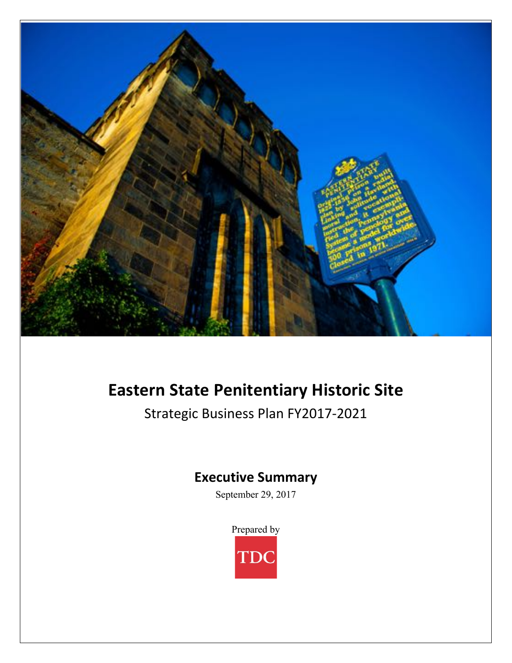

# **Eastern State Penitentiary Historic Site**

Strategic Business Plan FY2017-2021

## **Executive Summary**

September 29, 2017

Prepared by

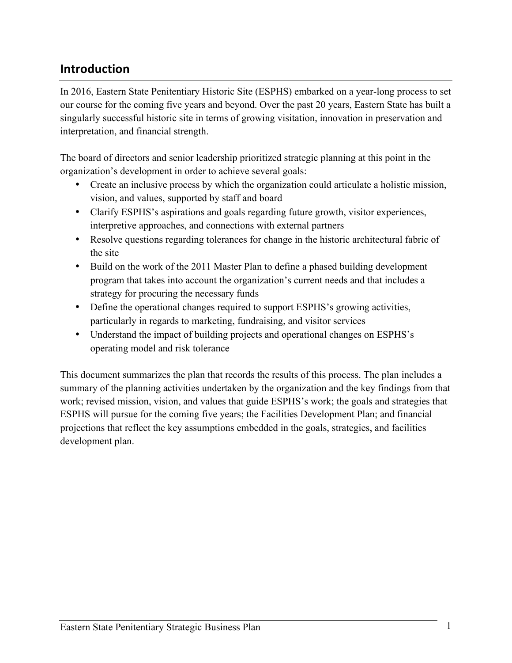## **Introduction**

In 2016, Eastern State Penitentiary Historic Site (ESPHS) embarked on a year-long process to set our course for the coming five years and beyond. Over the past 20 years, Eastern State has built a singularly successful historic site in terms of growing visitation, innovation in preservation and interpretation, and financial strength.

The board of directors and senior leadership prioritized strategic planning at this point in the organization's development in order to achieve several goals:

- Create an inclusive process by which the organization could articulate a holistic mission, vision, and values, supported by staff and board
- Clarify ESPHS's aspirations and goals regarding future growth, visitor experiences, interpretive approaches, and connections with external partners
- Resolve questions regarding tolerances for change in the historic architectural fabric of the site
- Build on the work of the 2011 Master Plan to define a phased building development program that takes into account the organization's current needs and that includes a strategy for procuring the necessary funds
- Define the operational changes required to support ESPHS's growing activities, particularly in regards to marketing, fundraising, and visitor services
- Understand the impact of building projects and operational changes on ESPHS's operating model and risk tolerance

This document summarizes the plan that records the results of this process. The plan includes a summary of the planning activities undertaken by the organization and the key findings from that work; revised mission, vision, and values that guide ESPHS's work; the goals and strategies that ESPHS will pursue for the coming five years; the Facilities Development Plan; and financial projections that reflect the key assumptions embedded in the goals, strategies, and facilities development plan.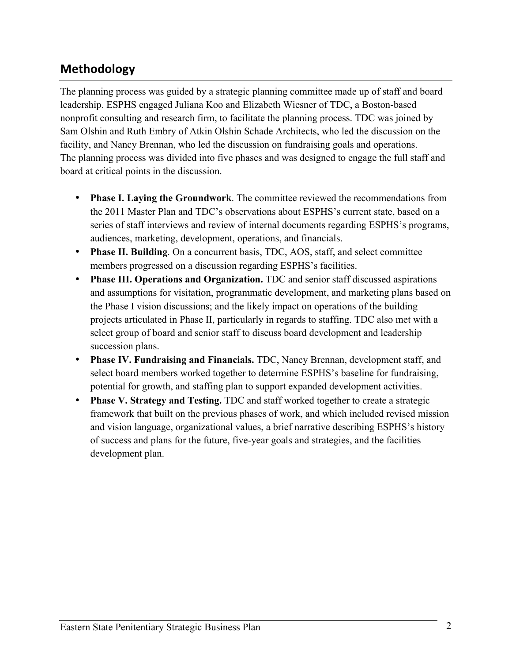## **Methodology**

The planning process was guided by a strategic planning committee made up of staff and board leadership. ESPHS engaged Juliana Koo and Elizabeth Wiesner of TDC, a Boston-based nonprofit consulting and research firm, to facilitate the planning process. TDC was joined by Sam Olshin and Ruth Embry of Atkin Olshin Schade Architects, who led the discussion on the facility, and Nancy Brennan, who led the discussion on fundraising goals and operations. The planning process was divided into five phases and was designed to engage the full staff and board at critical points in the discussion.

- **Phase I. Laying the Groundwork**. The committee reviewed the recommendations from the 2011 Master Plan and TDC's observations about ESPHS's current state, based on a series of staff interviews and review of internal documents regarding ESPHS's programs, audiences, marketing, development, operations, and financials.
- **Phase II. Building**. On a concurrent basis, TDC, AOS, staff, and select committee members progressed on a discussion regarding ESPHS's facilities.
- **Phase III. Operations and Organization.** TDC and senior staff discussed aspirations and assumptions for visitation, programmatic development, and marketing plans based on the Phase I vision discussions; and the likely impact on operations of the building projects articulated in Phase II, particularly in regards to staffing. TDC also met with a select group of board and senior staff to discuss board development and leadership succession plans.
- **Phase IV. Fundraising and Financials.** TDC, Nancy Brennan, development staff, and select board members worked together to determine ESPHS's baseline for fundraising, potential for growth, and staffing plan to support expanded development activities.
- **Phase V. Strategy and Testing.** TDC and staff worked together to create a strategic framework that built on the previous phases of work, and which included revised mission and vision language, organizational values, a brief narrative describing ESPHS's history of success and plans for the future, five-year goals and strategies, and the facilities development plan.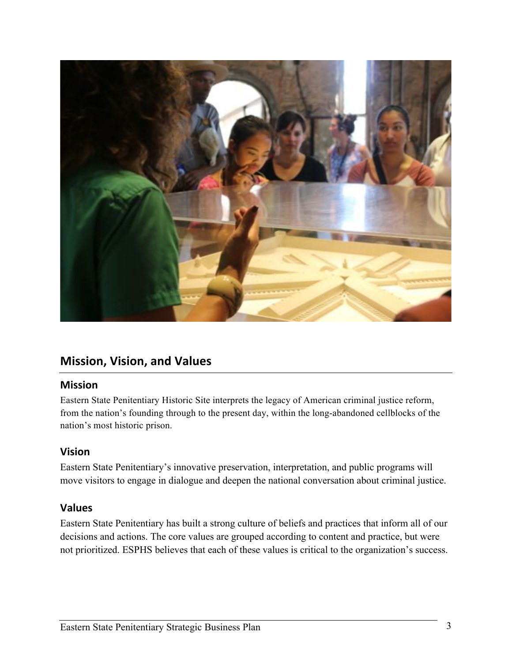

### **Mission, Vision, and Values**

#### **Mission**

Eastern State Penitentiary Historic Site interprets the legacy of American criminal justice reform, from the nation's founding through to the present day, within the long-abandoned cellblocks of the nation's most historic prison.

#### **Vision**

Eastern State Penitentiary's innovative preservation, interpretation, and public programs will move visitors to engage in dialogue and deepen the national conversation about criminal justice.

#### **Values**

Eastern State Penitentiary has built a strong culture of beliefs and practices that inform all of our decisions and actions. The core values are grouped according to content and practice, but were not prioritized. ESPHS believes that each of these values is critical to the organization's success.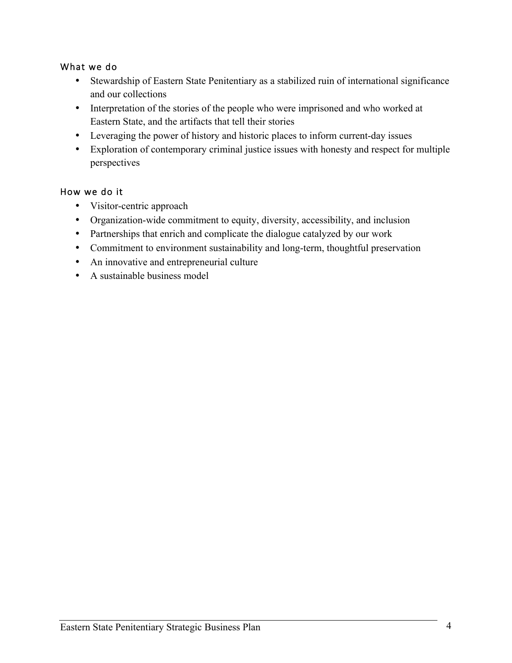#### What we do

- Stewardship of Eastern State Penitentiary as a stabilized ruin of international significance and our collections
- Interpretation of the stories of the people who were imprisoned and who worked at Eastern State, and the artifacts that tell their stories
- Leveraging the power of history and historic places to inform current-day issues
- Exploration of contemporary criminal justice issues with honesty and respect for multiple perspectives

#### How we do it

- Visitor-centric approach
- Organization-wide commitment to equity, diversity, accessibility, and inclusion
- Partnerships that enrich and complicate the dialogue catalyzed by our work
- Commitment to environment sustainability and long-term, thoughtful preservation
- An innovative and entrepreneurial culture
- A sustainable business model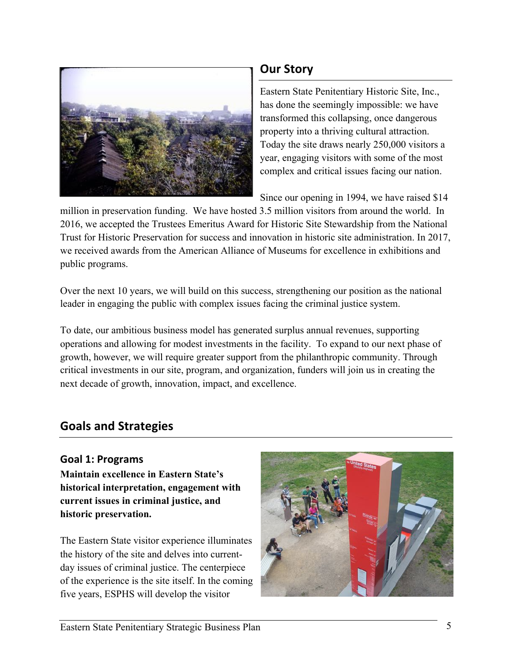

## **Our Story**

Eastern State Penitentiary Historic Site, Inc., has done the seemingly impossible: we have transformed this collapsing, once dangerous property into a thriving cultural attraction. Today the site draws nearly 250,000 visitors a year, engaging visitors with some of the most complex and critical issues facing our nation.

Since our opening in 1994, we have raised \$14

million in preservation funding. We have hosted 3.5 million visitors from around the world. In 2016, we accepted the Trustees Emeritus Award for Historic Site Stewardship from the National Trust for Historic Preservation for success and innovation in historic site administration. In 2017, we received awards from the American Alliance of Museums for excellence in exhibitions and public programs.

Over the next 10 years, we will build on this success, strengthening our position as the national leader in engaging the public with complex issues facing the criminal justice system.

To date, our ambitious business model has generated surplus annual revenues, supporting operations and allowing for modest investments in the facility. To expand to our next phase of growth, however, we will require greater support from the philanthropic community. Through critical investments in our site, program, and organization, funders will join us in creating the next decade of growth, innovation, impact, and excellence.

## **Goals and Strategies**

#### **Goal 1: Programs**

**Maintain excellence in Eastern State's historical interpretation, engagement with current issues in criminal justice, and historic preservation.** 

The Eastern State visitor experience illuminates the history of the site and delves into currentday issues of criminal justice. The centerpiece of the experience is the site itself. In the coming five years, ESPHS will develop the visitor

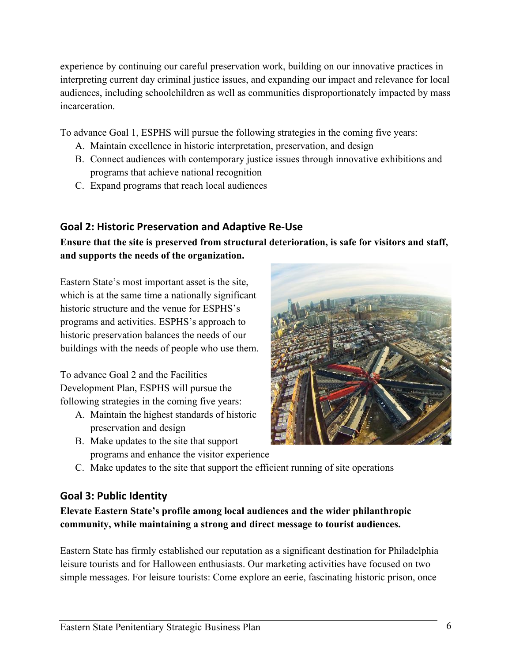experience by continuing our careful preservation work, building on our innovative practices in interpreting current day criminal justice issues, and expanding our impact and relevance for local audiences, including schoolchildren as well as communities disproportionately impacted by mass incarceration.

To advance Goal 1, ESPHS will pursue the following strategies in the coming five years:

- A. Maintain excellence in historic interpretation, preservation, and design
- B. Connect audiences with contemporary justice issues through innovative exhibitions and programs that achieve national recognition
- C. Expand programs that reach local audiences

#### **Goal 2: Historic Preservation and Adaptive Re-Use**

**Ensure that the site is preserved from structural deterioration, is safe for visitors and staff, and supports the needs of the organization.**

Eastern State's most important asset is the site, which is at the same time a nationally significant historic structure and the venue for ESPHS's programs and activities. ESPHS's approach to historic preservation balances the needs of our buildings with the needs of people who use them.

To advance Goal 2 and the Facilities Development Plan, ESPHS will pursue the following strategies in the coming five years:

- A. Maintain the highest standards of historic preservation and design
- B. Make updates to the site that support programs and enhance the visitor experience



C. Make updates to the site that support the efficient running of site operations

#### **Goal 3: Public Identity**

**Elevate Eastern State's profile among local audiences and the wider philanthropic community, while maintaining a strong and direct message to tourist audiences.**

Eastern State has firmly established our reputation as a significant destination for Philadelphia leisure tourists and for Halloween enthusiasts. Our marketing activities have focused on two simple messages. For leisure tourists: Come explore an eerie, fascinating historic prison, once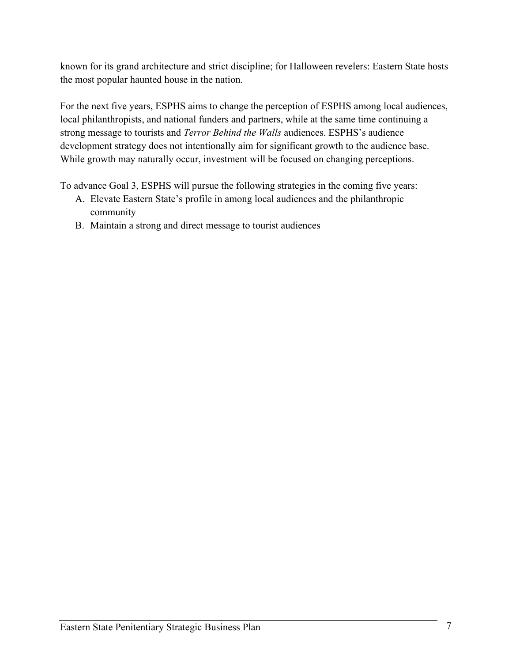known for its grand architecture and strict discipline; for Halloween revelers: Eastern State hosts the most popular haunted house in the nation.

For the next five years, ESPHS aims to change the perception of ESPHS among local audiences, local philanthropists, and national funders and partners, while at the same time continuing a strong message to tourists and *Terror Behind the Walls* audiences. ESPHS's audience development strategy does not intentionally aim for significant growth to the audience base. While growth may naturally occur, investment will be focused on changing perceptions.

To advance Goal 3, ESPHS will pursue the following strategies in the coming five years:

- A. Elevate Eastern State's profile in among local audiences and the philanthropic community
- B. Maintain a strong and direct message to tourist audiences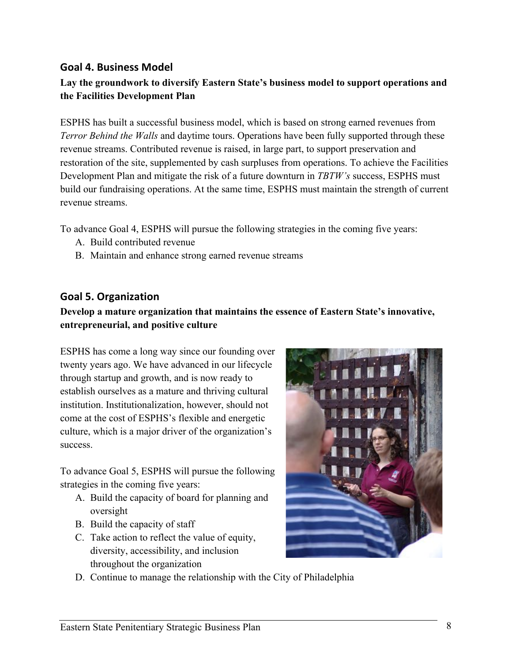#### **Goal 4. Business Model**

#### **Lay the groundwork to diversify Eastern State's business model to support operations and the Facilities Development Plan**

ESPHS has built a successful business model, which is based on strong earned revenues from *Terror Behind the Walls* and daytime tours. Operations have been fully supported through these revenue streams. Contributed revenue is raised, in large part, to support preservation and restoration of the site, supplemented by cash surpluses from operations. To achieve the Facilities Development Plan and mitigate the risk of a future downturn in *TBTW's* success, ESPHS must build our fundraising operations. At the same time, ESPHS must maintain the strength of current revenue streams.

To advance Goal 4, ESPHS will pursue the following strategies in the coming five years:

- A. Build contributed revenue
- B. Maintain and enhance strong earned revenue streams

#### **Goal 5. Organization**

#### **Develop a mature organization that maintains the essence of Eastern State's innovative, entrepreneurial, and positive culture**

ESPHS has come a long way since our founding over twenty years ago. We have advanced in our lifecycle through startup and growth, and is now ready to establish ourselves as a mature and thriving cultural institution. Institutionalization, however, should not come at the cost of ESPHS's flexible and energetic culture, which is a major driver of the organization's success.

To advance Goal 5, ESPHS will pursue the following strategies in the coming five years:

- A. Build the capacity of board for planning and oversight
- B. Build the capacity of staff
- C. Take action to reflect the value of equity, diversity, accessibility, and inclusion throughout the organization



D. Continue to manage the relationship with the City of Philadelphia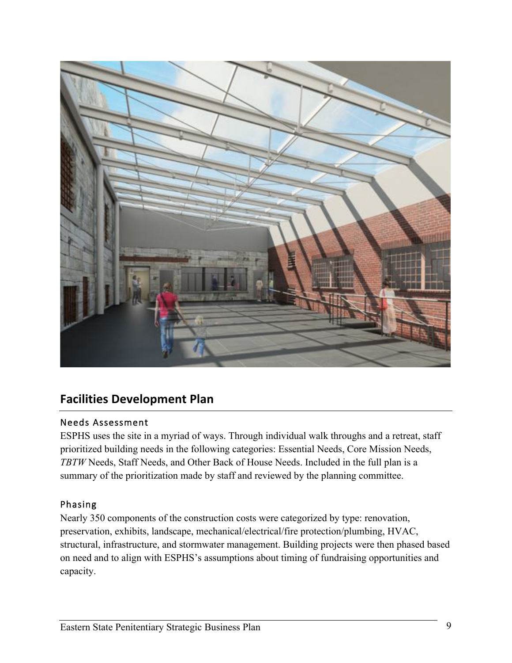

## **Facilities Development Plan**

#### Needs Assessment

ESPHS uses the site in a myriad of ways. Through individual walk throughs and a retreat, staff prioritized building needs in the following categories: Essential Needs, Core Mission Needs, *TBTW* Needs, Staff Needs, and Other Back of House Needs. Included in the full plan is a summary of the prioritization made by staff and reviewed by the planning committee.

#### Phasing

Nearly 350 components of the construction costs were categorized by type: renovation, preservation, exhibits, landscape, mechanical/electrical/fire protection/plumbing, HVAC, structural, infrastructure, and stormwater management. Building projects were then phased based on need and to align with ESPHS's assumptions about timing of fundraising opportunities and capacity.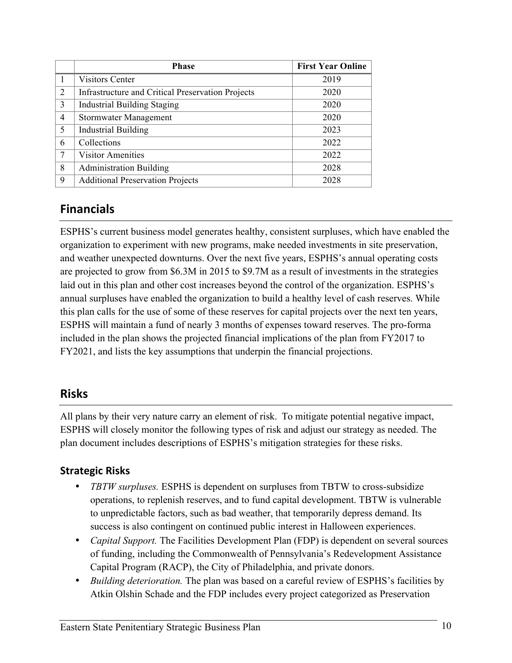|               | <b>Phase</b>                                             | <b>First Year Online</b> |
|---------------|----------------------------------------------------------|--------------------------|
|               | <b>Visitors Center</b>                                   | 2019                     |
| 2             | <b>Infrastructure and Critical Preservation Projects</b> | 2020                     |
| $\mathcal{E}$ | <b>Industrial Building Staging</b>                       | 2020                     |
| 4             | Stormwater Management                                    | 2020                     |
| 5             | <b>Industrial Building</b>                               | 2023                     |
| 6             | Collections                                              | 2022                     |
|               | <b>Visitor Amenities</b>                                 | 2022                     |
| 8             | <b>Administration Building</b>                           | 2028                     |
| 9             | <b>Additional Preservation Projects</b>                  | 2028                     |

## **Financials**

ESPHS's current business model generates healthy, consistent surpluses, which have enabled the organization to experiment with new programs, make needed investments in site preservation, and weather unexpected downturns. Over the next five years, ESPHS's annual operating costs are projected to grow from \$6.3M in 2015 to \$9.7M as a result of investments in the strategies laid out in this plan and other cost increases beyond the control of the organization. ESPHS's annual surpluses have enabled the organization to build a healthy level of cash reserves. While this plan calls for the use of some of these reserves for capital projects over the next ten years, ESPHS will maintain a fund of nearly 3 months of expenses toward reserves. The pro-forma included in the plan shows the projected financial implications of the plan from FY2017 to FY2021, and lists the key assumptions that underpin the financial projections.

#### **Risks**

All plans by their very nature carry an element of risk. To mitigate potential negative impact, ESPHS will closely monitor the following types of risk and adjust our strategy as needed. The plan document includes descriptions of ESPHS's mitigation strategies for these risks.

#### **Strategic Risks**

- *TBTW surpluses.* ESPHS is dependent on surpluses from TBTW to cross-subsidize operations, to replenish reserves, and to fund capital development. TBTW is vulnerable to unpredictable factors, such as bad weather, that temporarily depress demand. Its success is also contingent on continued public interest in Halloween experiences.
- *Capital Support.* The Facilities Development Plan (FDP) is dependent on several sources of funding, including the Commonwealth of Pennsylvania's Redevelopment Assistance Capital Program (RACP), the City of Philadelphia, and private donors.
- *Building deterioration.* The plan was based on a careful review of ESPHS's facilities by Atkin Olshin Schade and the FDP includes every project categorized as Preservation